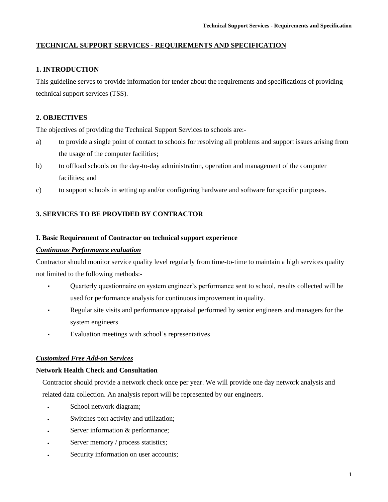# **TECHNICAL SUPPORT SERVICES - REQUIREMENTS AND SPECIFICATION**

# **1. INTRODUCTION**

This guideline serves to provide information for tender about the requirements and specifications of providing technical support services (TSS).

# **2. OBJECTIVES**

The objectives of providing the Technical Support Services to schools are:-

- a) to provide a single point of contact to schools for resolving all problems and support issues arising from the usage of the computer facilities;
- b) to offload schools on the day-to-day administration, operation and management of the computer facilities; and
- c) to support schools in setting up and/or configuring hardware and software for specific purposes.

# **3. SERVICES TO BE PROVIDED BY CONTRACTOR**

### **I. Basic Requirement of Contractor on technical support experience**

### *Continuous Performance evaluation*

Contractor should monitor service quality level regularly from time-to-time to maintain a high services quality not limited to the following methods:-

- Quarterly questionnaire on system engineer's performance sent to school, results collected will be used for performance analysis for continuous improvement in quality.
- Regular site visits and performance appraisal performed by senior engineers and managers for the system engineers
- Evaluation meetings with school's representatives

### *Customized Free Add-on Services*

### **Network Health Check and Consultation**

Contractor should provide a network check once per year. We will provide one day network analysis and related data collection. An analysis report will be represented by our engineers.

- School network diagram;
- Switches port activity and utilization;
- Server information & performance;
- Server memory / process statistics;
- Security information on user accounts;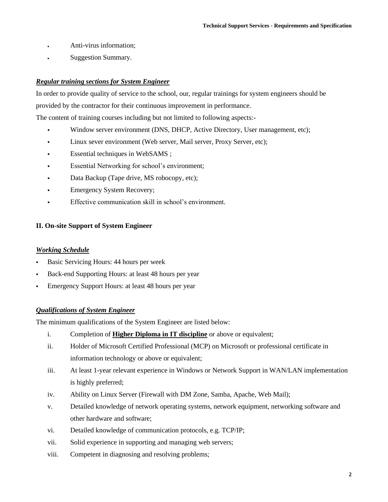- Anti-virus information;
- Suggestion Summary.

# *Regular training sections for System Engineer*

In order to provide quality of service to the school, our, regular trainings for system engineers should be provided by the contractor for their continuous improvement in performance.

The content of training courses including but not limited to following aspects:-

- Window server environment (DNS, DHCP, Active Directory, User management, etc);
- Linux sever environment (Web server, Mail server, Proxy Server, etc);
- Essential techniques in WebSAMS ;
- **Essential Networking for school's environment;**
- Data Backup (Tape drive, MS robocopy, etc);
- **Emergency System Recovery;**
- Effective communication skill in school's environment.

### **II. On-site Support of System Engineer**

### *Working Schedule*

- **Basic Servicing Hours: 44 hours per week**
- **Back-end Supporting Hours: at least 48 hours per year**
- **Emergency Support Hours: at least 48 hours per year**

### *Qualifications of System Engineer*

The minimum qualifications of the System Engineer are listed below:

- i. Completion of **Higher Diploma in IT discipline** or above or equivalent;
- ii. Holder of Microsoft Certified Professional (MCP) on Microsoft or professional certificate in information technology or above or equivalent;
- iii. At least 1-year relevant experience in Windows or Network Support in WAN/LAN implementation is highly preferred;
- iv. Ability on Linux Server (Firewall with DM Zone, Samba, Apache, Web Mail);
- v. Detailed knowledge of network operating systems, network equipment, networking software and other hardware and software;
- vi. Detailed knowledge of communication protocols, e.g. TCP/IP;
- vii. Solid experience in supporting and managing web servers;
- viii. Competent in diagnosing and resolving problems;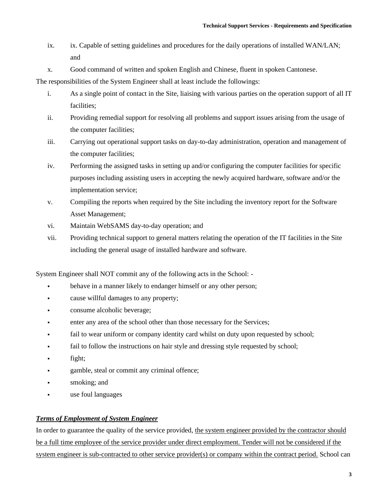- ix. ix. Capable of setting guidelines and procedures for the daily operations of installed WAN/LAN; and
- x. Good command of written and spoken English and Chinese, fluent in spoken Cantonese.

The responsibilities of the System Engineer shall at least include the followings:

- i. As a single point of contact in the Site, liaising with various parties on the operation support of all IT facilities;
- ii. Providing remedial support for resolving all problems and support issues arising from the usage of the computer facilities;
- iii. Carrying out operational support tasks on day-to-day administration, operation and management of the computer facilities;
- iv. Performing the assigned tasks in setting up and/or configuring the computer facilities for specific purposes including assisting users in accepting the newly acquired hardware, software and/or the implementation service;
- v. Compiling the reports when required by the Site including the inventory report for the Software Asset Management;
- vi. Maintain WebSAMS day-to-day operation; and
- vii. Providing technical support to general matters relating the operation of the IT facilities in the Site including the general usage of installed hardware and software.

System Engineer shall NOT commit any of the following acts in the School: -

- behave in a manner likely to endanger himself or any other person;
- **•** cause willful damages to any property;
- consume alcoholic beverage;
- enter any area of the school other than those necessary for the Services;
- fail to wear uniform or company identity card whilst on duty upon requested by school;
- fail to follow the instructions on hair style and dressing style requested by school;
- fight;
- gamble, steal or commit any criminal offence;
- smoking; and
- use foul languages

#### *Terms of Employment of System Engineer*

In order to guarantee the quality of the service provided, the system engineer provided by the contractor should be a full time employee of the service provider under direct employment. Tender will not be considered if the system engineer is sub-contracted to other service provider(s) or company within the contract period. School can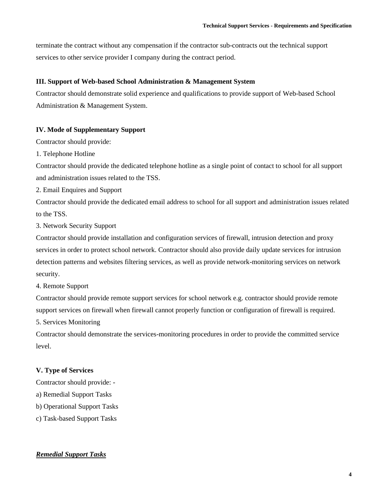terminate the contract without any compensation if the contractor sub-contracts out the technical support services to other service provider I company during the contract period.

### **III. Support of Web-based School Administration & Management System**

Contractor should demonstrate solid experience and qualifications to provide support of Web-based School Administration & Management System.

# **IV. Mode of Supplementary Support**

Contractor should provide:

1. Telephone Hotline

Contractor should provide the dedicated telephone hotline as a single point of contact to school for all support and administration issues related to the TSS.

2. Email Enquires and Support

Contractor should provide the dedicated email address to school for all support and administration issues related to the TSS.

3. Network Security Support

Contractor should provide installation and configuration services of firewall, intrusion detection and proxy services in order to protect school network. Contractor should also provide daily update services for intrusion detection patterns and websites filtering services, as well as provide network-monitoring services on network security.

4. Remote Support

Contractor should provide remote support services for school network e.g. contractor should provide remote support services on firewall when firewall cannot properly function or configuration of firewall is required.

5. Services Monitoring

Contractor should demonstrate the services-monitoring procedures in order to provide the committed service level.

# **V. Type of Services**

Contractor should provide: -

a) Remedial Support Tasks

b) Operational Support Tasks

c) Task-based Support Tasks

# *Remedial Support Tasks*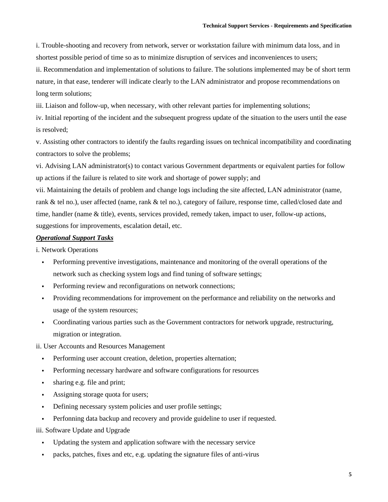i. Trouble-shooting and recovery from network, server or workstation failure with minimum data loss, and in shortest possible period of time so as to minimize disruption of services and inconveniences to users;

ii. Recommendation and implementation of solutions to failure. The solutions implemented may be of short term nature, in that ease, tenderer will indicate clearly to the LAN administrator and propose recommendations on long term solutions;

iii. Liaison and follow-up, when necessary, with other relevant parties for implementing solutions;

iv. Initial reporting of the incident and the subsequent progress update of the situation to the users until the ease is resolved;

v. Assisting other contractors to identify the faults regarding issues on technical incompatibility and coordinating contractors to solve the problems;

vi. Advising LAN administrator(s) to contact various Government departments or equivalent parties for follow up actions if the failure is related to site work and shortage of power supply; and

vii. Maintaining the details of problem and change logs including the site affected, LAN administrator (name, rank & tel no.), user affected (name, rank & tel no.), category of failure, response time, called/closed date and time, handler (name & title), events, services provided, remedy taken, impact to user, follow-up actions, suggestions for improvements, escalation detail, etc.

#### *Operational Support Tasks*

i. Network Operations

- Performing preventive investigations, maintenance and monitoring of the overall operations of the network such as checking system logs and find tuning of software settings;
- **•** Performing review and reconfigurations on network connections;
- Providing recommendations for improvement on the performance and reliability on the networks and usage of the system resources;
- Coordinating various parties such as the Government contractors for network upgrade, restructuring, migration or integration.

ii. User Accounts and Resources Management

- Performing user account creation, deletion, properties alternation;
- Performing necessary hardware and software configurations for resources
- sharing e.g. file and print;
- **•** Assigning storage quota for users;
- Defining necessary system policies and user profile settings;
- Perfonning data backup and recovery and provide guideline to user if requested.
- iii. Software Update and Upgrade
	- Updating the system and application software with the necessary service
	- packs, patches, fixes and etc, e.g. updating the signature files of anti-virus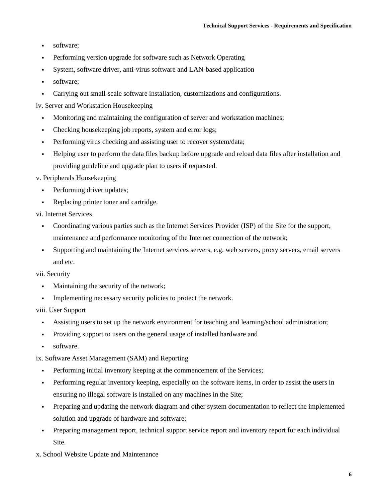- software:
- **•** Performing version upgrade for software such as Network Operating
- System, software driver, anti-virus software and LAN-based application
- software;
- Carrying out small-scale software installation, customizations and configurations.
- iv. Server and Workstation Housekeeping
	- Monitoring and maintaining the configuration of server and workstation machines;
	- Checking housekeeping job reports, system and error logs;
	- Performing virus checking and assisting user to recover system/data;
	- Helping user to perform the data files backup before upgrade and reload data files after installation and providing guideline and upgrade plan to users if requested.
- v. Peripherals Housekeeping
	- Performing driver updates;
	- Replacing printer toner and cartridge.
- vi. Internet Services
	- Coordinating various parties such as the Internet Services Provider (ISP) of the Site for the support, maintenance and performance monitoring of the Internet connection of the network;
	- Supporting and maintaining the Internet services servers, e.g. web servers, proxy servers, email servers and etc.

#### vii. Security

- Maintaining the security of the network;
- **•** Implementing necessary security policies to protect the network.

### viii. User Support

- Assisting users to set up the network environment for teaching and learning/school administration;
- Providing support to users on the general usage of installed hardware and
- software.

#### ix. Software Asset Management (SAM) and Reporting

- Performing initial inventory keeping at the commencement of the Services;
- Performing regular inventory keeping, especially on the software items, in order to assist the users in ensuring no illegal software is installed on any machines in the Site;
- Preparing and updating the network diagram and other system documentation to reflect the implemented solution and upgrade of hardware and software;
- Preparing management report, technical support service report and inventory report for each individual Site.
- x. School Website Update and Maintenance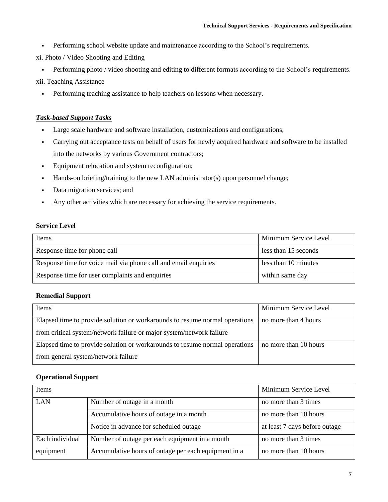- Performing school website update and maintenance according to the School's requirements.
- xi. Photo / Video Shooting and Editing
	- Performing photo / video shooting and editing to different formats according to the School's requirements.

xii. Teaching Assistance

▪ Performing teaching assistance to help teachers on lessons when necessary.

### *Task-based Support Tasks*

- Large scale hardware and software installation, customizations and configurations;
- Carrying out acceptance tests on behalf of users for newly acquired hardware and software to be installed into the networks by various Government contractors;
- Equipment relocation and system reconfiguration;
- Hands-on briefing/training to the new LAN administrator(s) upon personnel change;
- Data migration services; and
- Any other activities which are necessary for achieving the service requirements.

#### **Service Level**

| Items                                                           | Minimum Service Level |
|-----------------------------------------------------------------|-----------------------|
| Response time for phone call                                    | less than 15 seconds  |
| Response time for voice mail via phone call and email enquiries | less than 10 minutes  |
| Response time for user complaints and enquiries                 | within same day       |

#### **Remedial Support**

| Items                                                                       | Minimum Service Level |
|-----------------------------------------------------------------------------|-----------------------|
| Elapsed time to provide solution or workarounds to resume normal operations | no more than 4 hours  |
| from critical system/network failure or major system/network failure        |                       |
| Elapsed time to provide solution or workarounds to resume normal operations | no more than 10 hours |
| from general system/network failure                                         |                       |

#### **Operational Support**

| Items           |                                                      | Minimum Service Level         |
|-----------------|------------------------------------------------------|-------------------------------|
| <b>LAN</b>      | Number of outage in a month                          | no more than 3 times          |
|                 | Accumulative hours of outage in a month              | no more than 10 hours         |
|                 | Notice in advance for scheduled outage               | at least 7 days before outage |
| Each individual | Number of outage per each equipment in a month       | no more than 3 times          |
| equipment       | Accumulative hours of outage per each equipment in a | no more than 10 hours         |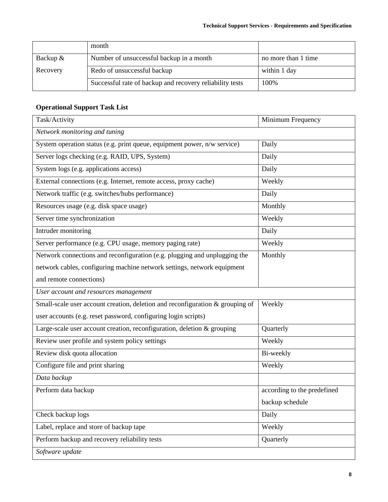|            | month                                                    |                     |
|------------|----------------------------------------------------------|---------------------|
| Backup $&$ | Number of unsuccessful backup in a month                 | no more than 1 time |
| Recovery   | Redo of unsuccessful backup                              | within 1 day        |
|            | Successful rate of backup and recovery reliability tests | 100\%               |

# **Operational Support Task List**

| Task/Activity                                                                 | Minimum Frequency           |  |
|-------------------------------------------------------------------------------|-----------------------------|--|
| Network monitoring and tuning                                                 |                             |  |
| System operation status (e.g. print queue, equipment power, n/w service)      | Daily                       |  |
| Server logs checking (e.g. RAID, UPS, System)                                 | Daily                       |  |
| System logs (e.g. applications access)                                        | Daily                       |  |
| External connections (e.g. Internet, remote access, proxy cache)              | Weekly                      |  |
| Network traffic (e.g. switches/hubs performance)                              | Daily                       |  |
| Resources usage (e.g. disk space usage)                                       | Monthly                     |  |
| Server time synchronization                                                   | Weekly                      |  |
| Intruder monitoring                                                           | Daily                       |  |
| Server performance (e.g. CPU usage, memory paging rate)                       | Weekly                      |  |
| Network connections and reconfiguration (e.g. plugging and unplugging the     | Monthly                     |  |
| network cables, configuring machine network settings, network equipment       |                             |  |
| and remote connections)                                                       |                             |  |
| User account and resources management                                         |                             |  |
| Small-scale user account creation, deletion and reconfiguration & grouping of | Weekly                      |  |
| user accounts (e.g. reset password, configuring login scripts)                |                             |  |
| Large-scale user account creation, reconfiguration, deletion & grouping       | Quarterly                   |  |
| Review user profile and system policy settings                                | Weekly                      |  |
| Review disk quota allocation                                                  | Bi-weekly                   |  |
| Configure file and print sharing                                              | Weekly                      |  |
| Data backup                                                                   |                             |  |
| Perform data backup                                                           | according to the predefined |  |
|                                                                               | backup schedule             |  |
| Check backup logs                                                             | Daily                       |  |
| Label, replace and store of backup tape                                       | Weekly                      |  |
| Perform backup and recovery reliability tests                                 | Quarterly                   |  |
| Software update                                                               |                             |  |